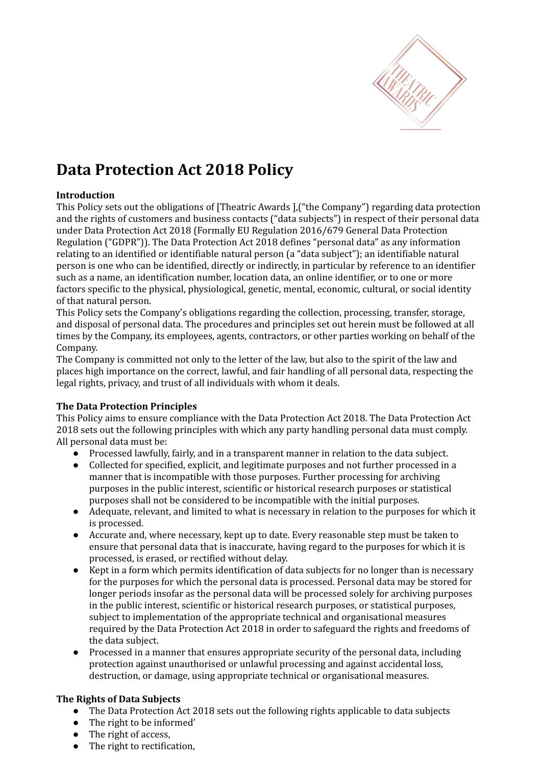

# **Data Protection Act 2018 Policy**

## **Introduction**

This Policy sets out the obligations of [Theatric Awards ],("the Company") regarding data protection and the rights of customers and business contacts ("data subjects") in respect of their personal data under Data Protection Act 2018 (Formally EU Regulation 2016/679 General Data Protection Regulation ("GDPR")). The Data Protection Act 2018 defines "personal data" as any information relating to an identified or identifiable natural person (a "data subject"); an identifiable natural person is one who can be identified, directly or indirectly, in particular by reference to an identifier such as a name, an identification number, location data, an online identifier, or to one or more factors specific to the physical, physiological, genetic, mental, economic, cultural, or social identity of that natural person.

This Policy sets the Company's obligations regarding the collection, processing, transfer, storage, and disposal of personal data. The procedures and principles set out herein must be followed at all times by the Company, its employees, agents, contractors, or other parties working on behalf of the Company.

The Company is committed not only to the letter of the law, but also to the spirit of the law and places high importance on the correct, lawful, and fair handling of all personal data, respecting the legal rights, privacy, and trust of all individuals with whom it deals.

#### **The Data Protection Principles**

This Policy aims to ensure compliance with the Data Protection Act 2018. The Data Protection Act 2018 sets out the following principles with which any party handling personal data must comply. All personal data must be:

- Processed lawfully, fairly, and in a transparent manner in relation to the data subject.
- Collected for specified, explicit, and legitimate purposes and not further processed in a manner that is incompatible with those purposes. Further processing for archiving purposes in the public interest, scientific or historical research purposes or statistical purposes shall not be considered to be incompatible with the initial purposes.
- Adequate, relevant, and limited to what is necessary in relation to the purposes for which it is processed.
- Accurate and, where necessary, kept up to date. Every reasonable step must be taken to ensure that personal data that is inaccurate, having regard to the purposes for which it is processed, is erased, or rectified without delay.
- Kept in a form which permits identification of data subjects for no longer than is necessary for the purposes for which the personal data is processed. Personal data may be stored for longer periods insofar as the personal data will be processed solely for archiving purposes in the public interest, scientific or historical research purposes, or statistical purposes, subject to implementation of the appropriate technical and organisational measures required by the Data Protection Act 2018 in order to safeguard the rights and freedoms of the data subject.
- Processed in a manner that ensures appropriate security of the personal data, including protection against unauthorised or unlawful processing and against accidental loss, destruction, or damage, using appropriate technical or organisational measures.

#### **The Rights of Data Subjects**

- The Data Protection Act 2018 sets out the following rights applicable to data subjects
- The right to be informed'
- The right of access,
- The right to rectification,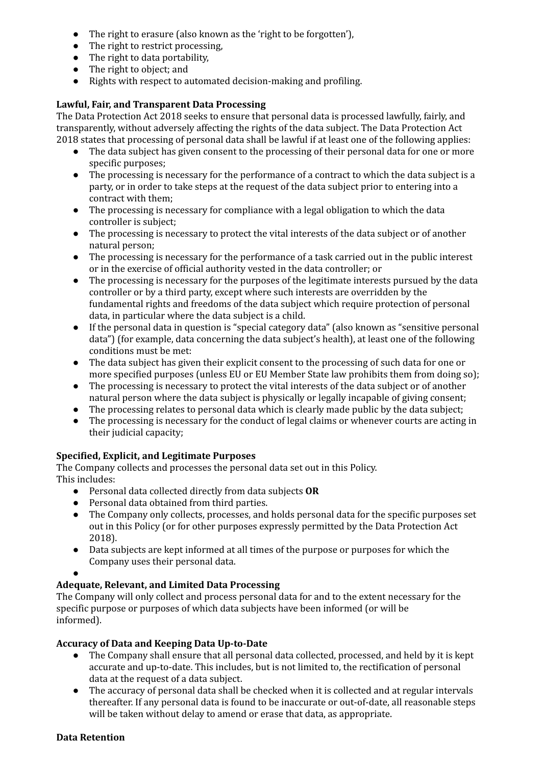- The right to erasure (also known as the 'right to be forgotten'),
- The right to restrict processing,
- The right to data portability,
- The right to object; and
- Rights with respect to automated decision-making and profiling.

## **Lawful, Fair, and Transparent Data Processing**

The Data Protection Act 2018 seeks to ensure that personal data is processed lawfully, fairly, and transparently, without adversely affecting the rights of the data subject. The Data Protection Act 2018 states that processing of personal data shall be lawful if at least one of the following applies:

- The data subject has given consent to the processing of their personal data for one or more specific purposes;
- The processing is necessary for the performance of a contract to which the data subject is a party, or in order to take steps at the request of the data subject prior to entering into a contract with them;
- The processing is necessary for compliance with a legal obligation to which the data controller is subject;
- The processing is necessary to protect the vital interests of the data subject or of another natural person;
- The processing is necessary for the performance of a task carried out in the public interest or in the exercise of official authority vested in the data controller; or
- The processing is necessary for the purposes of the legitimate interests pursued by the data controller or by a third party, except where such interests are overridden by the fundamental rights and freedoms of the data subject which require protection of personal data, in particular where the data subject is a child.
- If the personal data in question is "special category data" (also known as "sensitive personal data") (for example, data concerning the data subject's health), at least one of the following conditions must be met:
- The data subject has given their explicit consent to the processing of such data for one or more specified purposes (unless EU or EU Member State law prohibits them from doing so);
- The processing is necessary to protect the vital interests of the data subject or of another natural person where the data subject is physically or legally incapable of giving consent;
- The processing relates to personal data which is clearly made public by the data subject;
- The processing is necessary for the conduct of legal claims or whenever courts are acting in their judicial capacity;

# **Specified, Explicit, and Legitimate Purposes**

The Company collects and processes the personal data set out in this Policy. This includes:

- **●** Personal data collected directly from data subjects **OR**
- Personal data obtained from third parties.
- The Company only collects, processes, and holds personal data for the specific purposes set out in this Policy (or for other purposes expressly permitted by the Data Protection Act 2018).
- Data subjects are kept informed at all times of the purpose or purposes for which the Company uses their personal data.
- ●

# **Adequate, Relevant, and Limited Data Processing**

The Company will only collect and process personal data for and to the extent necessary for the specific purpose or purposes of which data subjects have been informed (or will be informed).

## **Accuracy of Data and Keeping Data Up-to-Date**

- The Company shall ensure that all personal data collected, processed, and held by it is kept accurate and up-to-date. This includes, but is not limited to, the rectification of personal data at the request of a data subject.
- The accuracy of personal data shall be checked when it is collected and at regular intervals thereafter. If any personal data is found to be inaccurate or out-of-date, all reasonable steps will be taken without delay to amend or erase that data, as appropriate.

#### **Data Retention**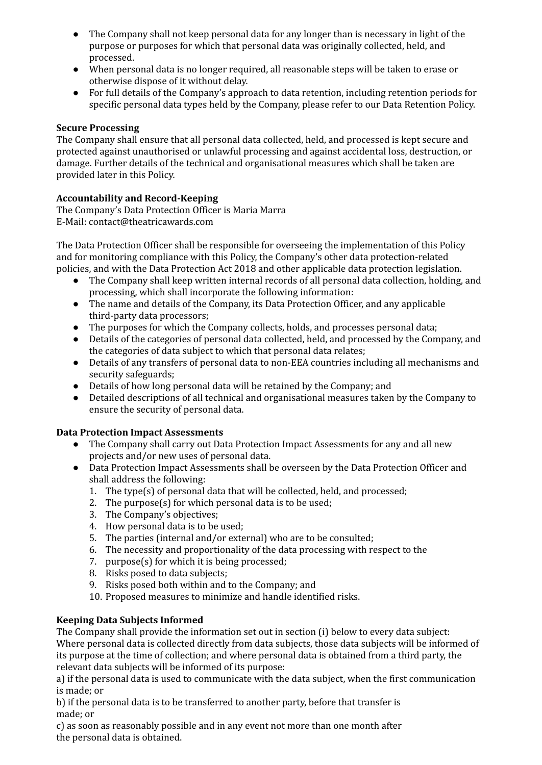- The Company shall not keep personal data for any longer than is necessary in light of the purpose or purposes for which that personal data was originally collected, held, and processed.
- When personal data is no longer required, all reasonable steps will be taken to erase or otherwise dispose of it without delay.
- For full details of the Company's approach to data retention, including retention periods for specific personal data types held by the Company, please refer to our Data Retention Policy.

#### **Secure Processing**

The Company shall ensure that all personal data collected, held, and processed is kept secure and protected against unauthorised or unlawful processing and against accidental loss, destruction, or damage. Further details of the technical and organisational measures which shall be taken are provided later in this Policy.

## **Accountability and Record-Keeping**

The Company's Data Protection Officer is Maria Marra E-Mail: contact@theatricawards.com

The Data Protection Officer shall be responsible for overseeing the implementation of this Policy and for monitoring compliance with this Policy, the Company's other data protection-related policies, and with the Data Protection Act 2018 and other applicable data protection legislation.

- The Company shall keep written internal records of all personal data collection, holding, and processing, which shall incorporate the following information:
- The name and details of the Company, its Data Protection Officer, and any applicable third-party data processors;
- The purposes for which the Company collects, holds, and processes personal data;
- Details of the categories of personal data collected, held, and processed by the Company, and the categories of data subject to which that personal data relates;
- Details of any transfers of personal data to non-EEA countries including all mechanisms and security safeguards;
- Details of how long personal data will be retained by the Company; and
- Detailed descriptions of all technical and organisational measures taken by the Company to ensure the security of personal data.

#### **Data Protection Impact Assessments**

- The Company shall carry out Data Protection Impact Assessments for any and all new projects and/or new uses of personal data.
- Data Protection Impact Assessments shall be overseen by the Data Protection Officer and shall address the following:
	- 1. The type(s) of personal data that will be collected, held, and processed;
	- 2. The purpose(s) for which personal data is to be used;
	- 3. The Company's objectives;
	- 4. How personal data is to be used;
	- 5. The parties (internal and/or external) who are to be consulted;
	- 6. The necessity and proportionality of the data processing with respect to the
	- 7. purpose(s) for which it is being processed;
	- 8. Risks posed to data subjects;
	- 9. Risks posed both within and to the Company; and
	- 10. Proposed measures to minimize and handle identified risks.

## **Keeping Data Subjects Informed**

The Company shall provide the information set out in section (i) below to every data subject: Where personal data is collected directly from data subjects, those data subjects will be informed of its purpose at the time of collection; and where personal data is obtained from a third party, the relevant data subjects will be informed of its purpose:

a) if the personal data is used to communicate with the data subject, when the first communication is made; or

b) if the personal data is to be transferred to another party, before that transfer is made; or

c) as soon as reasonably possible and in any event not more than one month after the personal data is obtained.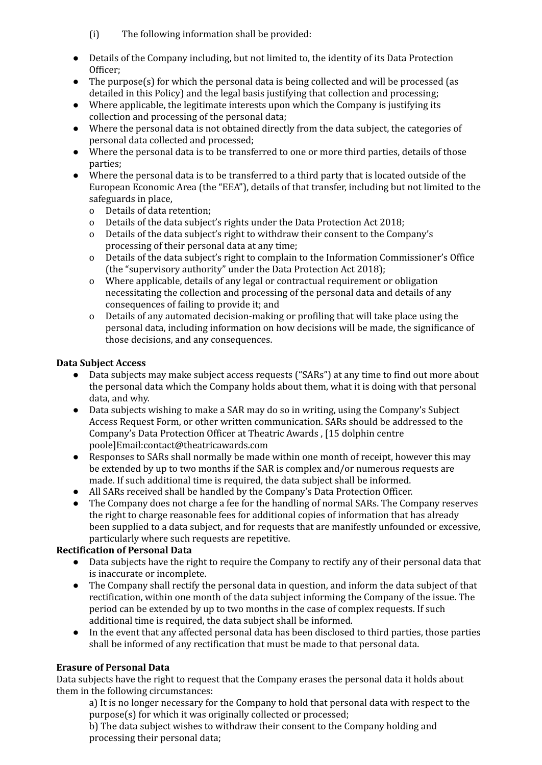- (i) The following information shall be provided:
- Details of the Company including, but not limited to, the identity of its Data Protection Officer;
- The purpose(s) for which the personal data is being collected and will be processed (as detailed in this Policy) and the legal basis justifying that collection and processing;
- Where applicable, the legitimate interests upon which the Company is justifying its collection and processing of the personal data;
- Where the personal data is not obtained directly from the data subject, the categories of personal data collected and processed;
- Where the personal data is to be transferred to one or more third parties, details of those parties;
- Where the personal data is to be transferred to a third party that is located outside of the European Economic Area (the "EEA"), details of that transfer, including but not limited to the safeguards in place,
	- o Details of data retention;
	- o Details of the data subject's rights under the Data Protection Act 2018;
	- o Details of the data subject's right to withdraw their consent to the Company's processing of their personal data at any time;
	- o Details of the data subject's right to complain to the Information Commissioner's Office (the "supervisory authority" under the Data Protection Act 2018);
	- o Where applicable, details of any legal or contractual requirement or obligation necessitating the collection and processing of the personal data and details of any consequences of failing to provide it; and
	- o Details of any automated decision-making or profiling that will take place using the personal data, including information on how decisions will be made, the significance of those decisions, and any consequences.

## **Data Subject Access**

- Data subjects may make subject access requests ("SARs") at any time to find out more about the personal data which the Company holds about them, what it is doing with that personal data, and why.
- Data subjects wishing to make a SAR may do so in writing, using the Company's Subject Access Request Form, or other written communication. SARs should be addressed to the Company's Data Protection Officer at Theatric Awards , [15 dolphin centre poole]Email:contact@theatricawards.com
- Responses to SARs shall normally be made within one month of receipt, however this may be extended by up to two months if the SAR is complex and/or numerous requests are made. If such additional time is required, the data subject shall be informed.
- All SARs received shall be handled by the Company's Data Protection Officer.
- The Company does not charge a fee for the handling of normal SARs. The Company reserves the right to charge reasonable fees for additional copies of information that has already been supplied to a data subject, and for requests that are manifestly unfounded or excessive, particularly where such requests are repetitive.

#### **Rectification of Personal Data**

- Data subjects have the right to require the Company to rectify any of their personal data that is inaccurate or incomplete.
- The Company shall rectify the personal data in question, and inform the data subject of that rectification, within one month of the data subject informing the Company of the issue. The period can be extended by up to two months in the case of complex requests. If such additional time is required, the data subject shall be informed.
- In the event that any affected personal data has been disclosed to third parties, those parties shall be informed of any rectification that must be made to that personal data.

## **Erasure of Personal Data**

Data subjects have the right to request that the Company erases the personal data it holds about them in the following circumstances:

a) It is no longer necessary for the Company to hold that personal data with respect to the purpose(s) for which it was originally collected or processed;

b) The data subject wishes to withdraw their consent to the Company holding and processing their personal data;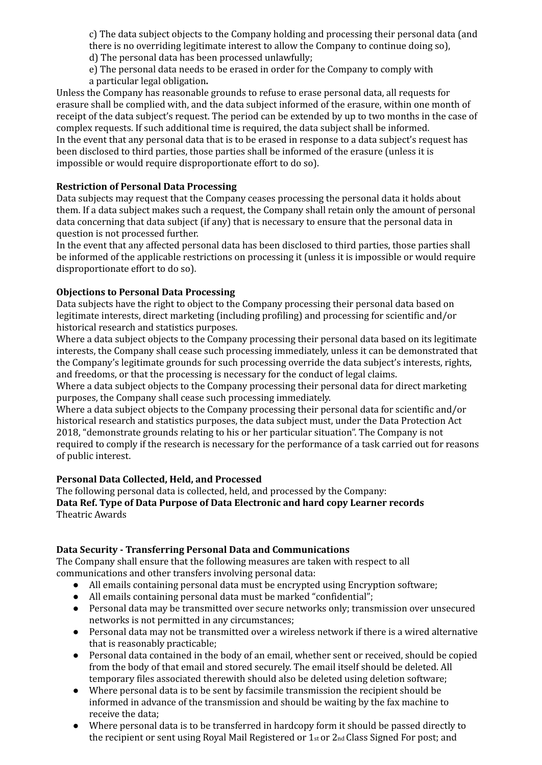c) The data subject objects to the Company holding and processing their personal data (and there is no overriding legitimate interest to allow the Company to continue doing so),

d) The personal data has been processed unlawfully;

e) The personal data needs to be erased in order for the Company to comply with a particular legal obligation**.**

Unless the Company has reasonable grounds to refuse to erase personal data, all requests for erasure shall be complied with, and the data subject informed of the erasure, within one month of receipt of the data subject's request. The period can be extended by up to two months in the case of complex requests. If such additional time is required, the data subject shall be informed. In the event that any personal data that is to be erased in response to a data subject's request has been disclosed to third parties, those parties shall be informed of the erasure (unless it is impossible or would require disproportionate effort to do so).

## **Restriction of Personal Data Processing**

Data subjects may request that the Company ceases processing the personal data it holds about them. If a data subject makes such a request, the Company shall retain only the amount of personal data concerning that data subject (if any) that is necessary to ensure that the personal data in question is not processed further.

In the event that any affected personal data has been disclosed to third parties, those parties shall be informed of the applicable restrictions on processing it (unless it is impossible or would require disproportionate effort to do so).

## **Objections to Personal Data Processing**

Data subjects have the right to object to the Company processing their personal data based on legitimate interests, direct marketing (including profiling) and processing for scientific and/or historical research and statistics purposes.

Where a data subject objects to the Company processing their personal data based on its legitimate interests, the Company shall cease such processing immediately, unless it can be demonstrated that the Company's legitimate grounds for such processing override the data subject's interests, rights, and freedoms, or that the processing is necessary for the conduct of legal claims.

Where a data subject objects to the Company processing their personal data for direct marketing purposes, the Company shall cease such processing immediately.

Where a data subject objects to the Company processing their personal data for scientific and/or historical research and statistics purposes, the data subject must, under the Data Protection Act 2018, "demonstrate grounds relating to his or her particular situation". The Company is not required to comply if the research is necessary for the performance of a task carried out for reasons of public interest.

#### **Personal Data Collected, Held, and Processed**

The following personal data is collected, held, and processed by the Company: **Data Ref. Type of Data Purpose of Data Electronic and hard copy Learner records** Theatric Awards

#### **Data Security - Transferring Personal Data and Communications**

The Company shall ensure that the following measures are taken with respect to all communications and other transfers involving personal data:

- All emails containing personal data must be encrypted using Encryption software;
- All emails containing personal data must be marked "confidential";
- Personal data may be transmitted over secure networks only; transmission over unsecured networks is not permitted in any circumstances;
- Personal data may not be transmitted over a wireless network if there is a wired alternative that is reasonably practicable;
- Personal data contained in the body of an email, whether sent or received, should be copied from the body of that email and stored securely. The email itself should be deleted. All temporary files associated therewith should also be deleted using deletion software;
- Where personal data is to be sent by facsimile transmission the recipient should be informed in advance of the transmission and should be waiting by the fax machine to receive the data;
- Where personal data is to be transferred in hardcopy form it should be passed directly to the recipient or sent using Royal Mail Registered or 1st or 2nd Class Signed For post; and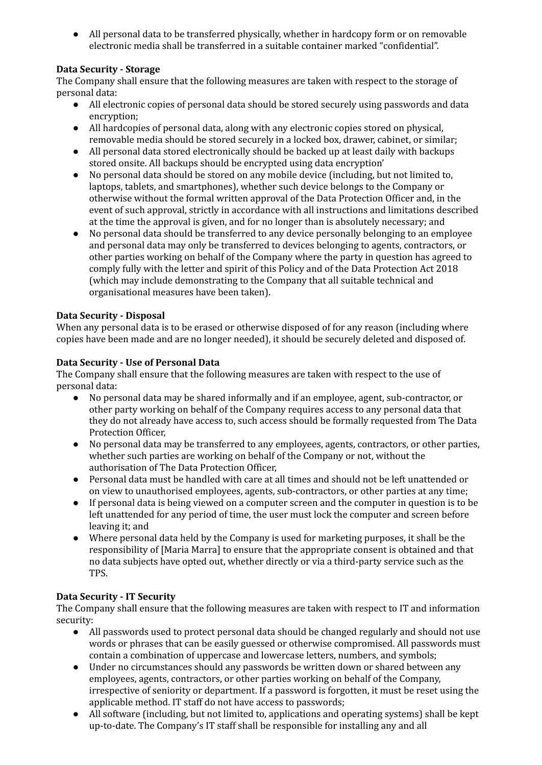● All personal data to be transferred physically, whether in hardcopy form or on removable electronic media shall be transferred in a suitable container marked "confidential".

## **Data Security - Storage**

The Company shall ensure that the following measures are taken with respect to the storage of personal data:

- All electronic copies of personal data should be stored securely using passwords and data encryption;
- All hardcopies of personal data, along with any electronic copies stored on physical, removable media should be stored securely in a locked box, drawer, cabinet, or similar;
- All personal data stored electronically should be backed up at least daily with backups stored onsite. All backups should be encrypted using data encryption'
- No personal data should be stored on any mobile device (including, but not limited to, laptops, tablets, and smartphones), whether such device belongs to the Company or otherwise without the formal written approval of the Data Protection Officer and, in the event of such approval, strictly in accordance with all instructions and limitations described at the time the approval is given, and for no longer than is absolutely necessary; and
- No personal data should be transferred to any device personally belonging to an employee and personal data may only be transferred to devices belonging to agents, contractors, or other parties working on behalf of the Company where the party in question has agreed to comply fully with the letter and spirit of this Policy and of the Data Protection Act 2018 (which may include demonstrating to the Company that all suitable technical and organisational measures have been taken).

## **Data Security - Disposal**

When any personal data is to be erased or otherwise disposed of for any reason (including where copies have been made and are no longer needed), it should be securely deleted and disposed of.

## **Data Security - Use of Personal Data**

The Company shall ensure that the following measures are taken with respect to the use of personal data:

- No personal data may be shared informally and if an employee, agent, sub-contractor, or other party working on behalf of the Company requires access to any personal data that they do not already have access to, such access should be formally requested from The Data Protection Officer,
- No personal data may be transferred to any employees, agents, contractors, or other parties, whether such parties are working on behalf of the Company or not, without the authorisation of The Data Protection Officer,
- Personal data must be handled with care at all times and should not be left unattended or on view to unauthorised employees, agents, sub-contractors, or other parties at any time;
- If personal data is being viewed on a computer screen and the computer in question is to be left unattended for any period of time, the user must lock the computer and screen before leaving it; and
- Where personal data held by the Company is used for marketing purposes, it shall be the responsibility of [Maria Marra] to ensure that the appropriate consent is obtained and that no data subjects have opted out, whether directly or via a third-party service such as the TPS.

## **Data Security - IT Security**

The Company shall ensure that the following measures are taken with respect to IT and information security:

- All passwords used to protect personal data should be changed regularly and should not use words or phrases that can be easily guessed or otherwise compromised. All passwords must contain a combination of uppercase and lowercase letters, numbers, and symbols;
- Under no circumstances should any passwords be written down or shared between any employees, agents, contractors, or other parties working on behalf of the Company, irrespective of seniority or department. If a password is forgotten, it must be reset using the applicable method. IT staff do not have access to passwords;
- All software (including, but not limited to, applications and operating systems) shall be kept up-to-date. The Company's IT staff shall be responsible for installing any and all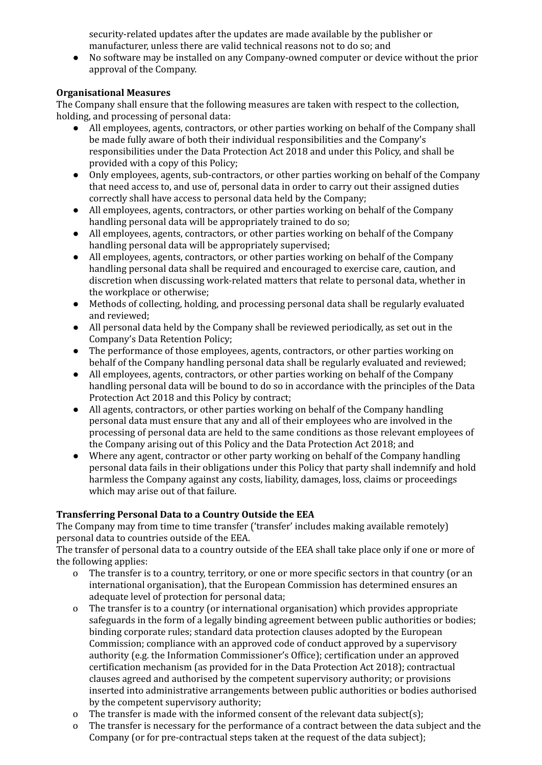security-related updates after the updates are made available by the publisher or manufacturer, unless there are valid technical reasons not to do so; and

● No software may be installed on any Company-owned computer or device without the prior approval of the Company.

#### **Organisational Measures**

The Company shall ensure that the following measures are taken with respect to the collection, holding, and processing of personal data:

- All employees, agents, contractors, or other parties working on behalf of the Company shall be made fully aware of both their individual responsibilities and the Company's responsibilities under the Data Protection Act 2018 and under this Policy, and shall be provided with a copy of this Policy;
- Only employees, agents, sub-contractors, or other parties working on behalf of the Company that need access to, and use of, personal data in order to carry out their assigned duties correctly shall have access to personal data held by the Company;
- All employees, agents, contractors, or other parties working on behalf of the Company handling personal data will be appropriately trained to do so;
- All employees, agents, contractors, or other parties working on behalf of the Company handling personal data will be appropriately supervised;
- All employees, agents, contractors, or other parties working on behalf of the Company handling personal data shall be required and encouraged to exercise care, caution, and discretion when discussing work-related matters that relate to personal data, whether in the workplace or otherwise;
- Methods of collecting, holding, and processing personal data shall be regularly evaluated and reviewed;
- All personal data held by the Company shall be reviewed periodically, as set out in the Company's Data Retention Policy;
- The performance of those employees, agents, contractors, or other parties working on behalf of the Company handling personal data shall be regularly evaluated and reviewed;
- All employees, agents, contractors, or other parties working on behalf of the Company handling personal data will be bound to do so in accordance with the principles of the Data Protection Act 2018 and this Policy by contract;
- All agents, contractors, or other parties working on behalf of the Company handling personal data must ensure that any and all of their employees who are involved in the processing of personal data are held to the same conditions as those relevant employees of the Company arising out of this Policy and the Data Protection Act 2018; and
- Where any agent, contractor or other party working on behalf of the Company handling personal data fails in their obligations under this Policy that party shall indemnify and hold harmless the Company against any costs, liability, damages, loss, claims or proceedings which may arise out of that failure.

## **Transferring Personal Data to a Country Outside the EEA**

The Company may from time to time transfer ('transfer' includes making available remotely) personal data to countries outside of the EEA.

The transfer of personal data to a country outside of the EEA shall take place only if one or more of the following applies:

- o The transfer is to a country, territory, or one or more specific sectors in that country (or an international organisation), that the European Commission has determined ensures an adequate level of protection for personal data;
- o The transfer is to a country (or international organisation) which provides appropriate safeguards in the form of a legally binding agreement between public authorities or bodies; binding corporate rules; standard data protection clauses adopted by the European Commission; compliance with an approved code of conduct approved by a supervisory authority (e.g. the Information Commissioner's Office); certification under an approved certification mechanism (as provided for in the Data Protection Act 2018); contractual clauses agreed and authorised by the competent supervisory authority; or provisions inserted into administrative arrangements between public authorities or bodies authorised by the competent supervisory authority;
- o The transfer is made with the informed consent of the relevant data subject(s);
- o The transfer is necessary for the performance of a contract between the data subject and the Company (or for pre-contractual steps taken at the request of the data subject);